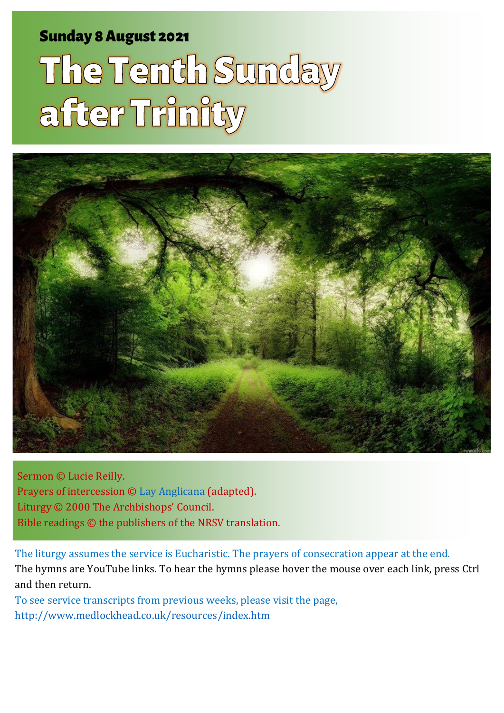### Sunday 8 August 2021 1 The Tenth Sunday 8 August 2021 1 The Tenth Sunday after Trinity and Trinity and Trinity

# The Tenth Sunday after Trinity



Sermon © Lucie Reilly. Prayers of intercession © [Lay Anglicana](http://www.layanglicana.org/blog/2015/08/04/intercessions-for-trinity-10-year-b-proper-14-9-august-2015/?doing_wp_cron=1628058818.5618810653686523437500) (adapted). Liturgy © 2000 The Archbishops' Council. Bible readings © the publishers of the NRSV translation.

The liturgy assumes the service is Eucharistic. The prayers of consecration appear at the end. The hymns are YouTube links. To hear the hymns please hover the mouse over each link, press Ctrl and then return.

To see service transcripts from previous weeks, please visit the page, <http://www.medlockhead.co.uk/resources/index.htm>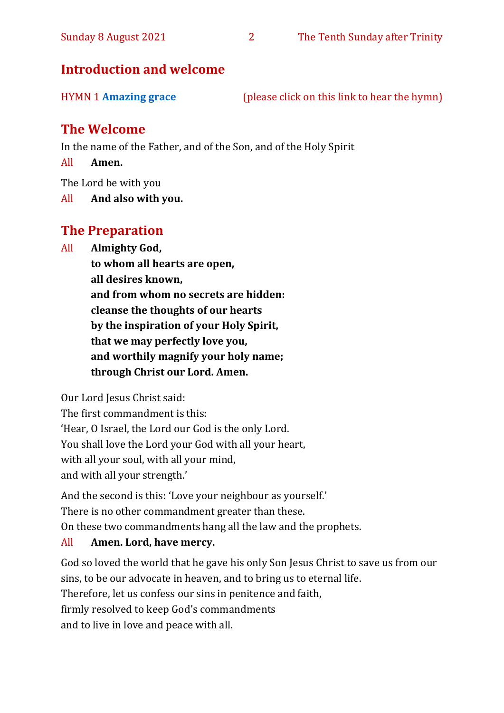#### **Introduction and welcome**

| <b>HYMN 1 Amazing grace</b> | (please click on this link to hear the hymn) |  |
|-----------------------------|----------------------------------------------|--|
|                             |                                              |  |

#### **The Welcome**

In the name of the Father, and of the Son, and of the Holy Spirit

All **Amen.**

The Lord be with you

All **And also with you.**

#### **The Preparation**

All **Almighty God,**

**to whom all hearts are open, all desires known, and from whom no secrets are hidden: cleanse the thoughts of our hearts by the inspiration of your Holy Spirit, that we may perfectly love you, and worthily magnify your holy name; through Christ our Lord. Amen.**

Our Lord Jesus Christ said:

The first commandment is this: 'Hear, O Israel, the Lord our God is the only Lord. You shall love the Lord your God with all your heart, with all your soul, with all your mind, and with all your strength.'

And the second is this: 'Love your neighbour as yourself.' There is no other commandment greater than these. On these two commandments hang all the law and the prophets.

#### All **Amen. Lord, have mercy.**

God so loved the world that he gave his only Son Jesus Christ to save us from our sins, to be our advocate in heaven, and to bring us to eternal life. Therefore, let us confess our sins in penitence and faith, firmly resolved to keep God's commandments and to live in love and peace with all.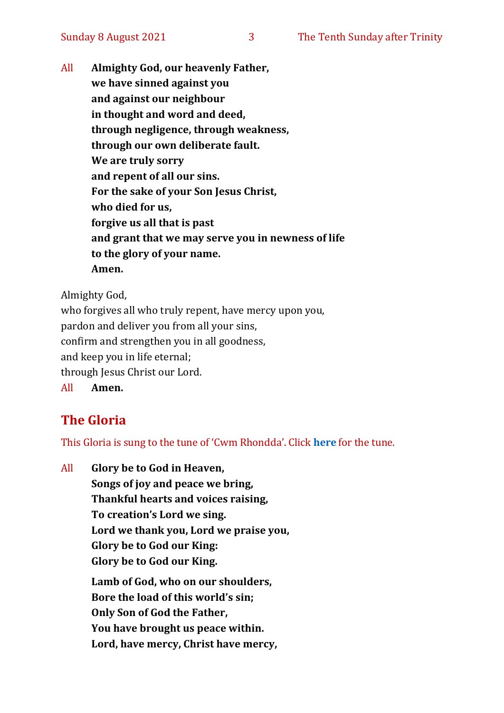All **Almighty God, our heavenly Father, we have sinned against you and against our neighbour in thought and word and deed, through negligence, through weakness, through our own deliberate fault. We are truly sorry and repent of all our sins. For the sake of your Son Jesus Christ, who died for us, forgive us all that is past and grant that we may serve you in newness of life to the glory of your name. Amen.**

Almighty God,

who forgives all who truly repent, have mercy upon you, pardon and deliver you from all your sins, confirm and strengthen you in all goodness, and keep you in life eternal; through Jesus Christ our Lord. All **Amen.**

#### **The Gloria**

This Gloria is sung to the tune of 'Cwm Rhondda'. Click **[here](about:blank)** for the tune.

All **Glory be to God in Heaven, Songs of joy and peace we bring, Thankful hearts and voices raising, To creation's Lord we sing. Lord we thank you, Lord we praise you, Glory be to God our King: Glory be to God our King. Lamb of God, who on our shoulders, Bore the load of this world's sin; Only Son of God the Father, You have brought us peace within. Lord, have mercy, Christ have mercy,**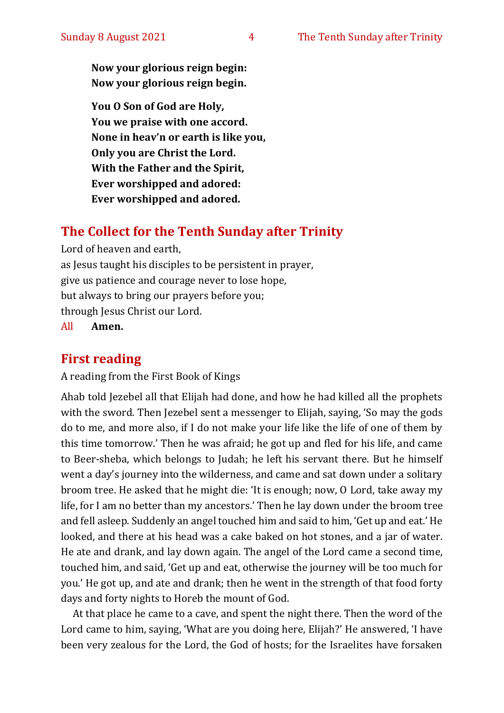**Now your glorious reign begin: Now your glorious reign begin.**

**You O Son of God are Holy, You we praise with one accord. None in heav'n or earth is like you, Only you are Christ the Lord. With the Father and the Spirit, Ever worshipped and adored: Ever worshipped and adored.**

#### **The Collect for the Tenth Sunday after Trinity**

Lord of heaven and earth, as Jesus taught his disciples to be persistent in prayer, give us patience and courage never to lose hope, but always to bring our prayers before you; through Jesus Christ our Lord.

All **Amen.**

#### **First reading**

A reading from the First Book of Kings

Ahab told Jezebel all that Elijah had done, and how he had killed all the prophets with the sword. Then Jezebel sent a messenger to Elijah, saying, 'So may the gods do to me, and more also, if I do not make your life like the life of one of them by this time tomorrow.' Then he was afraid; he got up and fled for his life, and came to Beer-sheba, which belongs to Judah; he left his servant there. But he himself went a day's journey into the wilderness, and came and sat down under a solitary broom tree. He asked that he might die: 'It is enough; now, O Lord, take away my life, for I am no better than my ancestors.' Then he lay down under the broom tree and fell asleep. Suddenly an angel touched him and said to him, 'Get up and eat.' He looked, and there at his head was a cake baked on hot stones, and a jar of water. He ate and drank, and lay down again. The angel of the Lord came a second time, touched him, and said, 'Get up and eat, otherwise the journey will be too much for you.' He got up, and ate and drank; then he went in the strength of that food forty days and forty nights to Horeb the mount of God.

At that place he came to a cave, and spent the night there. Then the word of the Lord came to him, saying, 'What are you doing here, Elijah?' He answered, 'I have been very zealous for the Lord, the God of hosts; for the Israelites have forsaken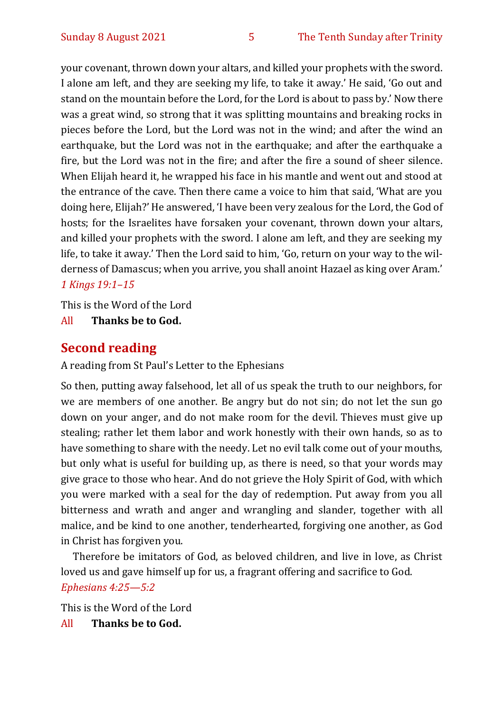your covenant, thrown down your altars, and killed your prophets with the sword. I alone am left, and they are seeking my life, to take it away.' He said, 'Go out and stand on the mountain before the Lord, for the Lord is about to pass by.' Now there was a great wind, so strong that it was splitting mountains and breaking rocks in pieces before the Lord, but the Lord was not in the wind; and after the wind an earthquake, but the Lord was not in the earthquake; and after the earthquake a fire, but the Lord was not in the fire; and after the fire a sound of sheer silence. When Elijah heard it, he wrapped his face in his mantle and went out and stood at the entrance of the cave. Then there came a voice to him that said, 'What are you doing here, Elijah?' He answered, 'I have been very zealous for the Lord, the God of hosts; for the Israelites have forsaken your covenant, thrown down your altars, and killed your prophets with the sword. I alone am left, and they are seeking my life, to take it away.' Then the Lord said to him, 'Go, return on your way to the wilderness of Damascus; when you arrive, you shall anoint Hazael as king over Aram.' *1 Kings 19:1–15*

This is the Word of the Lord

All **Thanks be to God.**

#### **Second reading**

A reading from St Paul's Letter to the Ephesians

So then, putting away falsehood, let all of us speak the truth to our neighbors, for we are members of one another. Be angry but do not sin; do not let the sun go down on your anger, and do not make room for the devil. Thieves must give up stealing; rather let them labor and work honestly with their own hands, so as to have something to share with the needy. Let no evil talk come out of your mouths, but only what is useful for building up, as there is need, so that your words may give grace to those who hear. And do not grieve the Holy Spirit of God, with which you were marked with a seal for the day of redemption. Put away from you all bitterness and wrath and anger and wrangling and slander, together with all malice, and be kind to one another, tenderhearted, forgiving one another, as God in Christ has forgiven you.

Therefore be imitators of God, as beloved children, and live in love, as Christ loved us and gave himself up for us, a fragrant offering and sacrifice to God. *Ephesians 4:25—5:2*

This is the Word of the Lord

All **Thanks be to God.**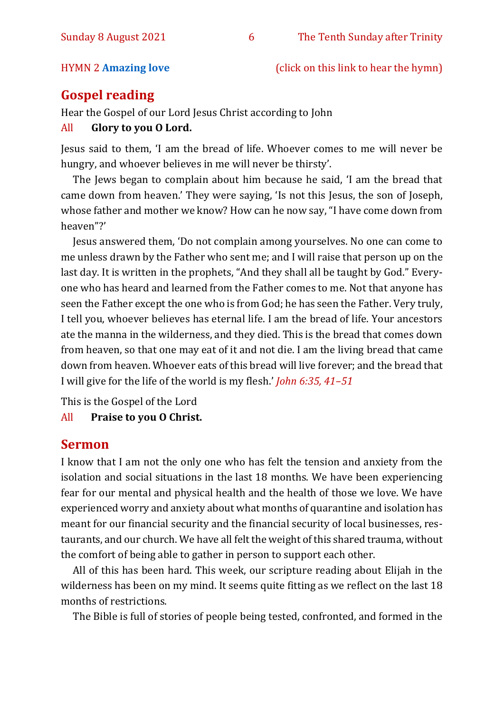#### HYMN 2 **[Amazing love](https://www.youtube.com/watch?v=ItR0E1lg7lY)** (click on this link to hear the hymn)

#### **Gospel reading**

Hear the Gospel of our Lord Jesus Christ according to John

#### All **Glory to you O Lord.**

Jesus said to them, 'I am the bread of life. Whoever comes to me will never be hungry, and whoever believes in me will never be thirsty'.

The Jews began to complain about him because he said, 'I am the bread that came down from heaven.' They were saying, 'Is not this Jesus, the son of Joseph, whose father and mother we know? How can he now say, "I have come down from heaven"?'

Jesus answered them, 'Do not complain among yourselves. No one can come to me unless drawn by the Father who sent me; and I will raise that person up on the last day. It is written in the prophets, "And they shall all be taught by God." Everyone who has heard and learned from the Father comes to me. Not that anyone has seen the Father except the one who is from God; he has seen the Father. Very truly, I tell you, whoever believes has eternal life. I am the bread of life. Your ancestors ate the manna in the wilderness, and they died. This is the bread that comes down from heaven, so that one may eat of it and not die. I am the living bread that came down from heaven. Whoever eats of this bread will live forever; and the bread that I will give for the life of the world is my flesh.' *John 6:35, 41–51*

This is the Gospel of the Lord

All **Praise to you O Christ.** 

#### **Sermon**

I know that I am not the only one who has felt the tension and anxiety from the isolation and social situations in the last 18 months. We have been experiencing fear for our mental and physical health and the health of those we love. We have experienced worry and anxiety about what months of quarantine and isolation has meant for our financial security and the financial security of local businesses, restaurants, and our church. We have all felt the weight of this shared trauma, without the comfort of being able to gather in person to support each other.

All of this has been hard. This week, our scripture reading about Elijah in the wilderness has been on my mind. It seems quite fitting as we reflect on the last 18 months of restrictions.

The Bible is full of stories of people being tested, confronted, and formed in the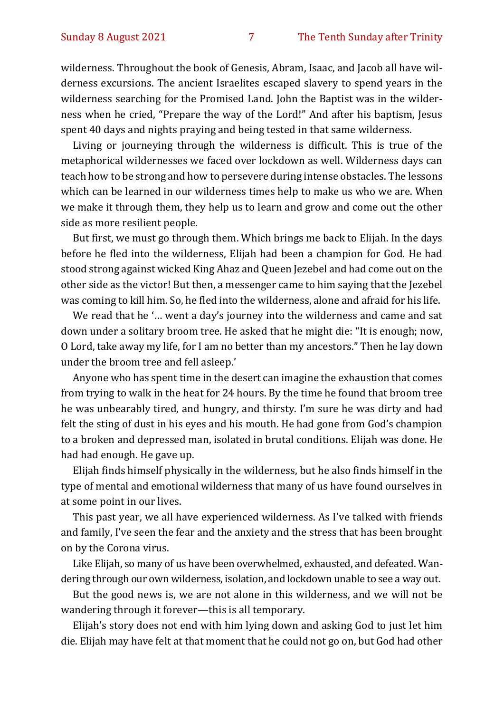wilderness. Throughout the book of Genesis, Abram, Isaac, and Jacob all have wilderness excursions. The ancient Israelites escaped slavery to spend years in the wilderness searching for the Promised Land. John the Baptist was in the wilderness when he cried, "Prepare the way of the Lord!" And after his baptism, Jesus spent 40 days and nights praying and being tested in that same wilderness.

Living or journeying through the wilderness is difficult. This is true of the metaphorical wildernesses we faced over lockdown as well. Wilderness days can teach how to be strong and how to persevere during intense obstacles. The lessons which can be learned in our wilderness times help to make us who we are. When we make it through them, they help us to learn and grow and come out the other side as more resilient people.

But first, we must go through them. Which brings me back to Elijah. In the days before he fled into the wilderness, Elijah had been a champion for God. He had stood strong against wicked King Ahaz and Queen Jezebel and had come out on the other side as the victor! But then, a messenger came to him saying that the Jezebel was coming to kill him. So, he fled into the wilderness, alone and afraid for his life.

We read that he '… went a day's journey into the wilderness and came and sat down under a solitary broom tree. He asked that he might die: "It is enough; now, O Lord, take away my life, for I am no better than my ancestors." Then he lay down under the broom tree and fell asleep.'

Anyone who has spent time in the desert can imagine the exhaustion that comes from trying to walk in the heat for 24 hours. By the time he found that broom tree he was unbearably tired, and hungry, and thirsty. I'm sure he was dirty and had felt the sting of dust in his eyes and his mouth. He had gone from God's champion to a broken and depressed man, isolated in brutal conditions. Elijah was done. He had had enough. He gave up.

Elijah finds himself physically in the wilderness, but he also finds himself in the type of mental and emotional wilderness that many of us have found ourselves in at some point in our lives.

This past year, we all have experienced wilderness. As I've talked with friends and family, I've seen the fear and the anxiety and the stress that has been brought on by the Corona virus.

Like Elijah, so many of us have been overwhelmed, exhausted, and defeated. Wandering through our own wilderness, isolation, and lockdown unable to see a way out.

But the good news is, we are not alone in this wilderness, and we will not be wandering through it forever—this is all temporary.

Elijah's story does not end with him lying down and asking God to just let him die. Elijah may have felt at that moment that he could not go on, but God had other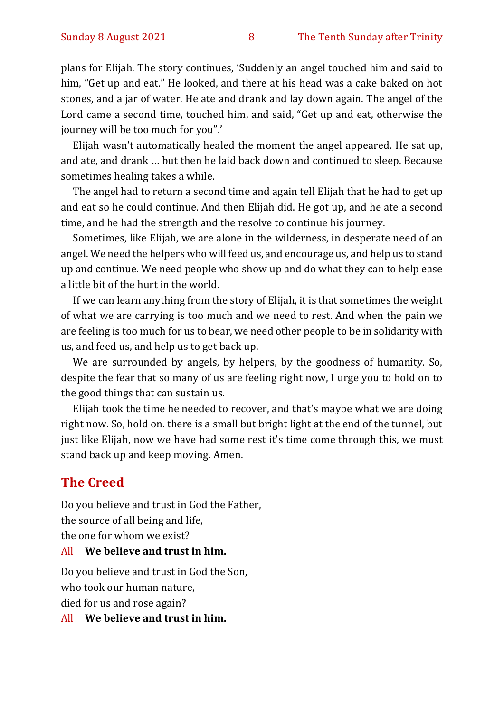plans for Elijah. The story continues, 'Suddenly an angel touched him and said to him, "Get up and eat." He looked, and there at his head was a cake baked on hot stones, and a jar of water. He ate and drank and lay down again. The angel of the Lord came a second time, touched him, and said, "Get up and eat, otherwise the journey will be too much for you".'

Elijah wasn't automatically healed the moment the angel appeared. He sat up, and ate, and drank … but then he laid back down and continued to sleep. Because sometimes healing takes a while.

The angel had to return a second time and again tell Elijah that he had to get up and eat so he could continue. And then Elijah did. He got up, and he ate a second time, and he had the strength and the resolve to continue his journey.

Sometimes, like Elijah, we are alone in the wilderness, in desperate need of an angel. We need the helpers who will feed us, and encourage us, and help us to stand up and continue. We need people who show up and do what they can to help ease a little bit of the hurt in the world.

If we can learn anything from the story of Elijah, it is that sometimes the weight of what we are carrying is too much and we need to rest. And when the pain we are feeling is too much for us to bear, we need other people to be in solidarity with us, and feed us, and help us to get back up.

We are surrounded by angels, by helpers, by the goodness of humanity. So, despite the fear that so many of us are feeling right now, I urge you to hold on to the good things that can sustain us.

Elijah took the time he needed to recover, and that's maybe what we are doing right now. So, hold on. there is a small but bright light at the end of the tunnel, but just like Elijah, now we have had some rest it's time come through this, we must stand back up and keep moving. Amen.

#### **The Creed**

Do you believe and trust in God the Father, the source of all being and life, the one for whom we exist? All **We believe and trust in him.**

Do you believe and trust in God the Son, who took our human nature, died for us and rose again?

All **We believe and trust in him.**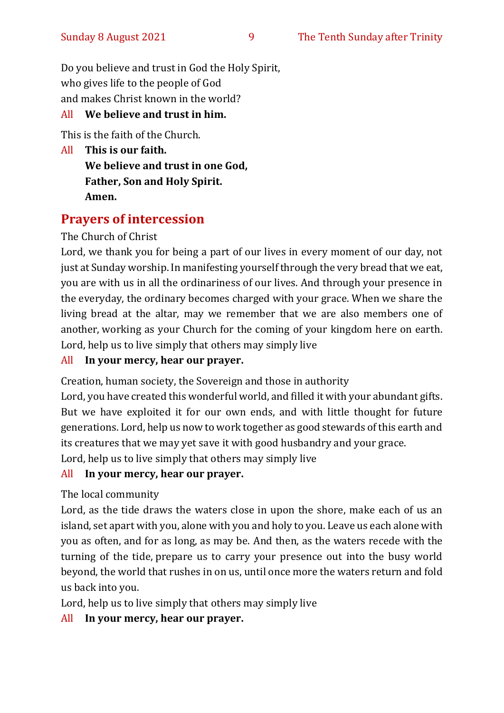Do you believe and trust in God the Holy Spirit, who gives life to the people of God and makes Christ known in the world?

#### All **We believe and trust in him.**

This is the faith of the Church.

All **This is our faith. We believe and trust in one God, Father, Son and Holy Spirit. Amen.**

#### **Prayers of intercession**

The Church of Christ

Lord, we thank you for being a part of our lives in every moment of our day, not just at Sunday worship. In manifesting yourself through the very bread that we eat, you are with us in all the ordinariness of our lives. And through your presence in the everyday, the ordinary becomes charged with your grace. When we share the living bread at the altar, may we remember that we are also members one of another, working as your Church for the coming of your kingdom here on earth. Lord, help us to live simply that others may simply live

#### All **In your mercy, hear our prayer.**

Creation, human society, the Sovereign and those in authority

Lord, you have created this wonderful world, and filled it with your abundant gifts. But we have exploited it for our own ends, and with little thought for future generations. Lord, help us now to work together as good stewards of this earth and its creatures that we may yet save it with good husbandry and your grace.

Lord, help us to live simply that others may simply live

#### All **In your mercy, hear our prayer.**

The local community

Lord, as the tide draws the waters close in upon the shore, make each of us an island, set apart with you, alone with you and holy to you. Leave us each alone with you as often, and for as long, as may be. And then, as the waters recede with the turning of the tide, prepare us to carry your presence out into the busy world beyond, the world that rushes in on us, until once more the waters return and fold us back into you.

Lord, help us to live simply that others may simply live

#### All **In your mercy, hear our prayer.**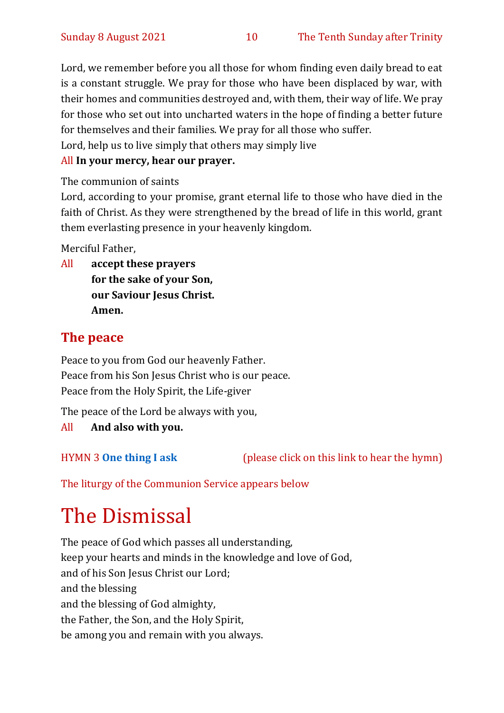Lord, we remember before you all those for whom finding even daily bread to eat is a constant struggle. We pray for those who have been displaced by war, with their homes and communities destroyed and, with them, their way of life. We pray for those who set out into uncharted waters in the hope of finding a better future for themselves and their families. We pray for all those who suffer.

Lord, help us to live simply that others may simply live

#### All **In your mercy, hear our prayer.**

The communion of saints

Lord, according to your promise, grant eternal life to those who have died in the faith of Christ. As they were strengthened by the bread of life in this world, grant them everlasting presence in your heavenly kingdom.

Merciful Father,

All **accept these prayers for the sake of your Son, our Saviour Jesus Christ. Amen.**

#### **The peace**

Peace to you from God our heavenly Father. Peace from his Son Jesus Christ who is our peace. Peace from the Holy Spirit, the Life-giver

The peace of the Lord be always with you,

All **And also with you.**

HYMN 3 **[One thing I ask](https://www.youtube.com/watch?v=od8900719uY)** (please click on this link to hear the hymn)

The liturgy of the Communion Service appears below

# The Dismissal

The peace of God which passes all understanding, keep your hearts and minds in the knowledge and love of God, and of his Son Jesus Christ our Lord; and the blessing and the blessing of God almighty, the Father, the Son, and the Holy Spirit, be among you and remain with you always.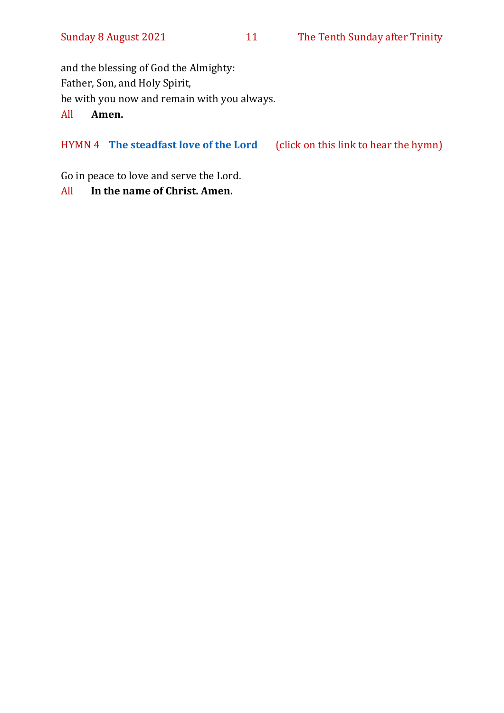and the blessing of God the Almighty: Father, Son, and Holy Spirit, be with you now and remain with you always. All **Amen.**

HYMN 4 **[The steadfast love of the Lord](https://www.youtube.com/watch?v=PemhmovZRec&t=21s)** (click on this link to hear the hymn)

Go in peace to love and serve the Lord.

#### All **In the name of Christ. Amen.**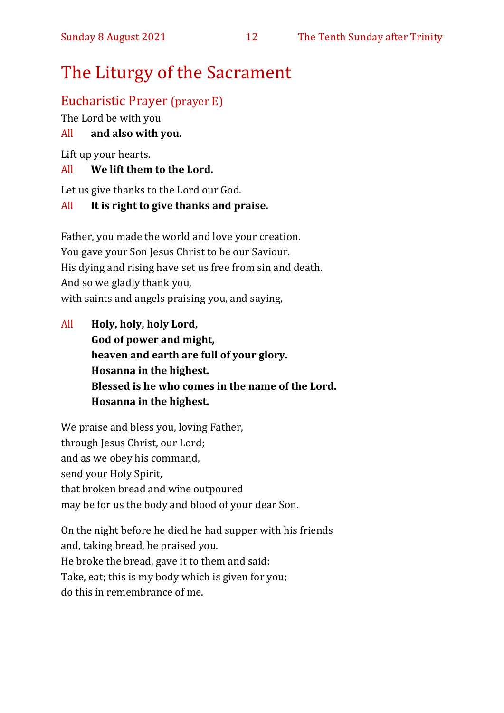## The Liturgy of the Sacrament

#### Eucharistic Prayer (prayer E)

The Lord be with you

#### All **and also with you.**

Lift up your hearts.

#### All **We lift them to the Lord.**

Let us give thanks to the Lord our God.

#### All **It is right to give thanks and praise.**

Father, you made the world and love your creation. You gave your Son Jesus Christ to be our Saviour. His dying and rising have set us free from sin and death. And so we gladly thank you, with saints and angels praising you, and saying,

All **Holy, holy, holy Lord, God of power and might, heaven and earth are full of your glory. Hosanna in the highest. Blessed is he who comes in the name of the Lord. Hosanna in the highest.**

We praise and bless you, loving Father, through Jesus Christ, our Lord; and as we obey his command, send your Holy Spirit, that broken bread and wine outpoured may be for us the body and blood of your dear Son.

On the night before he died he had supper with his friends and, taking bread, he praised you. He broke the bread, gave it to them and said: Take, eat; this is my body which is given for you; do this in remembrance of me.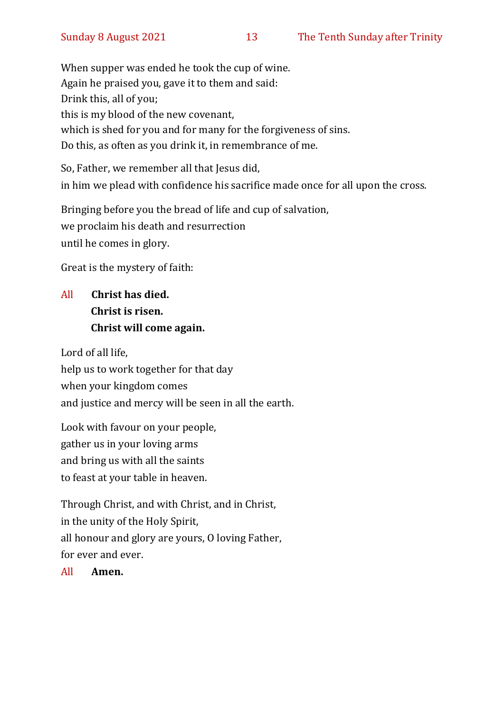When supper was ended he took the cup of wine. Again he praised you, gave it to them and said: Drink this, all of you; this is my blood of the new covenant, which is shed for you and for many for the forgiveness of sins. Do this, as often as you drink it, in remembrance of me.

So, Father, we remember all that Jesus did, in him we plead with confidence his sacrifice made once for all upon the cross.

Bringing before you the bread of life and cup of salvation, we proclaim his death and resurrection until he comes in glory.

Great is the mystery of faith:

#### All **Christ has died. Christ is risen. Christ will come again.**

Lord of all life, help us to work together for that day when your kingdom comes and justice and mercy will be seen in all the earth.

Look with favour on your people, gather us in your loving arms and bring us with all the saints to feast at your table in heaven.

Through Christ, and with Christ, and in Christ, in the unity of the Holy Spirit, all honour and glory are yours, O loving Father, for ever and ever.

All **Amen.**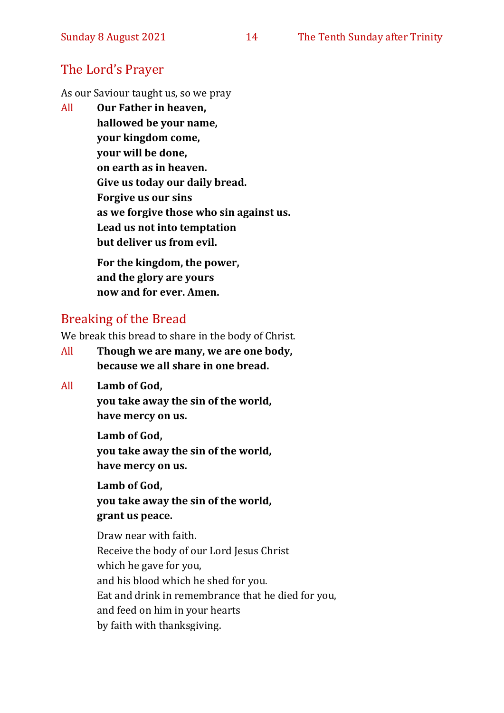#### The Lord's Prayer

As our Saviour taught us, so we pray

All **Our Father in heaven, hallowed be your name, your kingdom come, your will be done, on earth as in heaven. Give us today our daily bread. Forgive us our sins as we forgive those who sin against us. Lead us not into temptation but deliver us from evil. For the kingdom, the power,** 

**and the glory are yours now and for ever. Amen.**

#### Breaking of the Bread

We break this bread to share in the body of Christ.

- All **Though we are many, we are one body, because we all share in one bread.**
- All **Lamb of God,**

**you take away the sin of the world, have mercy on us.**

**Lamb of God, you take away the sin of the world, have mercy on us.**

**Lamb of God, you take away the sin of the world, grant us peace.**

Draw near with faith. Receive the body of our Lord Jesus Christ which he gave for you, and his blood which he shed for you. Eat and drink in remembrance that he died for you, and feed on him in your hearts by faith with thanksgiving.